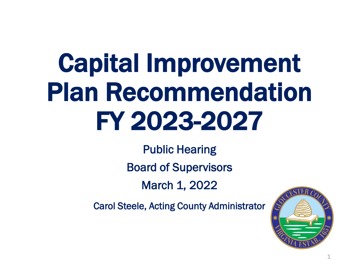# Capital Improvement Plan Recommendation FY 2023-2027

Public Hearing Board of Supervisors March 1, 2022

Carol Steele, Acting County Administrator



1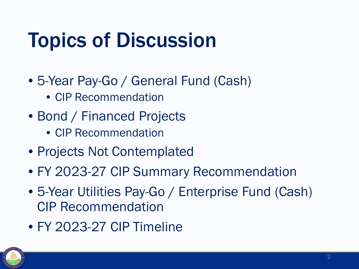## Topics of Discussion

- 5-Year Pay-Go / General Fund (Cash)
	- CIP Recommendation
- Bond / Financed Projects
	- CIP Recommendation
- Projects Not Contemplated
- FY 2023-27 CIP Summary Recommendation
- 5-Year Utilities Pay-Go / Enterprise Fund (Cash) CIP Recommendation
- FY 2023-27 CIP Timeline

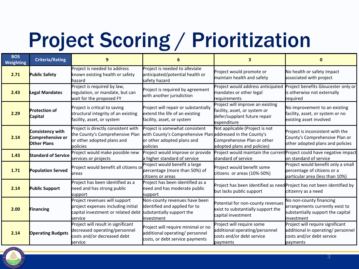## Project Scoring / Prioritization

| <b>BOS</b><br>Weighting | <b>Criteria/Rating</b>                                     | 9                                                                                                                                              | 6                                                                                                                                      | 3                                                                                                                |                                                                                                                 |  |
|-------------------------|------------------------------------------------------------|------------------------------------------------------------------------------------------------------------------------------------------------|----------------------------------------------------------------------------------------------------------------------------------------|------------------------------------------------------------------------------------------------------------------|-----------------------------------------------------------------------------------------------------------------|--|
| 2.71                    | <b>Public Safety</b>                                       | Project is needed to address<br>known existing health or safety<br>hazard                                                                      | Project is needed to alleviate<br>anticipated/potential health or<br>safety hazard                                                     | Project would promote or<br>maintain health and safety                                                           | No health or safety impact<br>associated with project                                                           |  |
| 2.43                    | Legal Mandates                                             | Project is required by law,<br>regulation, or mandate, but can<br>wait for the proposed FY                                                     | Project is required by agreement<br>with another jurisdiction                                                                          | Project would address anticipated<br>mandates or other legal<br>requirements                                     | Project benefits Gloucester only or<br>is otherwise not externally<br>required                                  |  |
| 2.29                    | <b>Protection of</b><br><b>Capital</b>                     | Project is critical to saving<br>structural integrity of an existing<br>facility, asset, or system                                             | Project will repair or substantially<br>extend the life of an existing<br>facility, asset, or system                                   | Project will improve an existing<br>facility, asset, or system or<br>defer/supplant future repair<br>expenditure | No improvement to an existing<br>facility, asset, or system or no<br>existing asset involved                    |  |
| 2.14                    | Consistency with<br>Comprehensive or<br><b>Other Plans</b> | Project is directly consistent with<br>the County's Comprehensive Plan<br>or other adopted plans and<br>policies                               | Project is somewhat consistent<br>with County's Comprehensive Plan addressed in the County's<br>or other adopted plans and<br>policies | Not applicable (Project is not<br>Comprehensive Plan or other<br>adopted plans and policies)                     | Project is inconsistent with the<br>County's Comprehensive Plan or<br>other adopted plans and policies          |  |
| 1.43                    | <b>Standard of Service</b>                                 | Project would make possible new<br>services or projects                                                                                        | Project would improve or provide<br>a higher standard of service                                                                       | standard of service                                                                                              | Project would maintain the current Project could have negative impact<br>on standard of service                 |  |
| 1.71                    | <b>Population Served</b>                                   | Project would benefit all citizens or<br>lareas                                                                                                | Project would benefit a large<br>percentage (more than 50%) of<br>citizens or areas                                                    | Project would benefit some<br>citizens or areas (10%-50%)                                                        | Project would benefit only a small<br>percentage of citizens or a<br>particular area (less than 10%)            |  |
| 2.14                    | <b>Public Support</b>                                      | Project has been identified as a<br>need and has strong public<br>support                                                                      | Project has been identified as a<br>need and has moderate public<br>support                                                            | Project has been identified as need Project has not been identified by<br>but lacks public support               | citizenry as a need                                                                                             |  |
| 2.00                    | <b>Financing</b>                                           | Project revenues will support<br>project expenses including initial<br>capital investment or related debt substantially support the<br>service | Non-county revenues have been<br>identified and applied for to<br>investment                                                           | Potential for non-county revenues<br>exist to substantially support the<br>capital investment                    | No non-county financing<br>arrangements currently exist to<br>substantially support the capital<br>investment   |  |
| 2.14                    | <b>Operating Budgets</b>                                   | Project will result in significant<br>decreased operating/personnel<br>costs and/or decreased debt<br>service                                  | Project will require minimal or no<br>additional operating/ personnel<br>costs, or debt service payments                               | Project will require some<br>additional operating/personnel<br>costs and/or debt service<br>payments             | Project will require significant<br>additional in operating/ personnel<br>costs and/or debt service<br>payments |  |

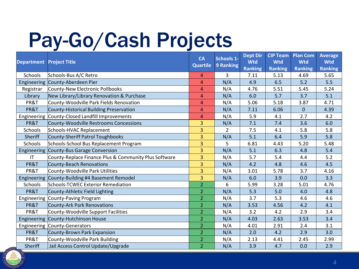## Pay-Go/Cash Projects

| <b>Department</b>      | <b>Project Title</b>                                  | <b>CA</b><br><b>Quartile</b> | Schools 1-<br>9 Ranking | <b>Dept Dir</b><br><b>Wtd</b><br><b>Ranking</b> | <b>CIP Team</b><br><b>Wtd</b><br><b>Ranking</b> | <b>Plan Com</b><br><b>Wtd</b><br><b>Ranking</b> | <b>Average</b><br><b>Wtd</b><br><b>Ranking</b> |
|------------------------|-------------------------------------------------------|------------------------------|-------------------------|-------------------------------------------------|-------------------------------------------------|-------------------------------------------------|------------------------------------------------|
| Schools                | Schools-Bus A/C Retro                                 | 4                            | 3                       | 7.11                                            | 5.13                                            | 4.69                                            | 5.65                                           |
| Engineering            | County-Aberdeen Pier                                  | 4                            | N/A                     | 4.9                                             | 6.5                                             | 5.2                                             | 5.5                                            |
| Registrar              | County-New Electronic Pollbooks                       | $\overline{4}$               | N/A                     | 4.76                                            | 5.51                                            | 5.45                                            | 5.24                                           |
| Library                | New Library/Library Renovation & Purchase             | $\overline{4}$               | N/A                     | 6.0                                             | 5.7                                             | 3.7                                             | 5.1                                            |
| PR&T                   | County-Woodville Park Fields Renovation               | $\overline{4}$               | N/A                     | 5.06                                            | 5.18                                            | 3.87                                            | 4.71                                           |
| PR&T                   | County-Historical Building Preservation               | $\overline{a}$               | N/A                     | 7.11                                            | 6.06                                            | $\overline{0}$                                  | 4.39                                           |
| Engineering            | County-Closed Landfill Improvements                   | $\overline{a}$               | N/A                     | 5.9                                             | 4.1                                             | 2.7                                             | 4.2                                            |
| PR&T                   | County-Woodville Restrooms Concessions                | 3                            | N/A                     | 7.1                                             | 7.4                                             | 3.6                                             | 6.0                                            |
| Schools                | Schools-HVAC Replacement                              | 3                            | $\overline{2}$          | 7.5                                             | 4.1                                             | 5.8                                             | 5.8                                            |
| Sheriff                | County-Sheriff Patrol Toughbooks                      | 3                            | N/A                     | 5.1                                             | 6.4                                             | 5.9                                             | 5.8                                            |
| Schools                | Schools-School Bus Replacement Program                | 3                            | 5                       | 6.81                                            | 4.43                                            | 5.20                                            | 5.48                                           |
| Engineering            | County-Bus Garage Conversion                          | 3                            | N/A                     | 5.1                                             | 6.3                                             | 4.8                                             | 5.4                                            |
| $\mathsf{I}\mathsf{T}$ | County-Replace Finance Plus & Community Plus Software | 3                            | N/A                     | 5.7                                             | 5.4                                             | 4.4                                             | 5.2                                            |
| PR&T                   | County-Beach Renovations                              | 3                            | N/A                     | 4.2                                             | 4.8                                             | 4.6                                             | 4.5                                            |
| PR&T                   | County-Woodville Park Utilities                       | 3                            | N/A                     | 3.01                                            | 5.78                                            | 3.7                                             | 4.16                                           |
| Engineering            | County-Building #4 Basement Remodel                   | 3                            | N/A                     | 6.0                                             | 3.9                                             | 0.0                                             | 3.3                                            |
| Schools                | Schools-TCWEC Exterior Remediation                    | $\overline{2}$               | 6                       | 5.99                                            | 3.28                                            | 5.01                                            | 4.76                                           |
| PR&T                   | County-Athletic Field Lighting                        | $\overline{2}$               | N/A                     | 5.3                                             | 5.0                                             | 4.0                                             | 4.8                                            |
|                        | Engineering County-Paving Program                     | $\overline{2}$               | N/A                     | 3.7                                             | 5.3                                             | 4.6                                             | 4.6                                            |
| PR&T                   | County-Ark Park Renovations                           | $\overline{2}$               | N/A                     | 3.53                                            | 4.56                                            | 4.2                                             | 4.1                                            |
| PR&T                   | County-Woodville Support Facilities                   | $\overline{2}$               | N/A                     | 3.2                                             | 4.2                                             | 2.9                                             | 3.4                                            |
| Engineering            | County-Hutchinson House                               | $\overline{2}$               | N/A                     | 4.03                                            | 2.63                                            | 3.53                                            | 3.4                                            |
|                        | Engineering County-Generators                         | $\overline{2}$               | N/A                     | 4.01                                            | 2.91                                            | 2.4                                             | 3.1                                            |
| PR&T                   | County-Brown Park Expansion                           | $\overline{2}$               | N/A                     | 2.0                                             | 4.2                                             | 2.9                                             | 3.0                                            |
| PR&T                   | County-Woodville Park Building                        | $\overline{2}$               | N/A                     | 2.13                                            | 4.41                                            | 2.45                                            | 2.99                                           |
| <b>Sheriff</b>         | Jail Access Control Update/Upgrade                    | $\overline{2}$               | N/A                     | 3.9                                             | 4.7                                             | 0.0                                             | 2.9                                            |

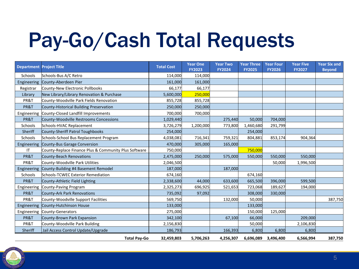## Pay-Go/Cash Total Requests

| <b>Department Project Title</b> |                                                       | <b>Total Cost</b> | <b>Year One</b><br><b>FY2023</b> | <b>Year Two</b><br><b>FY2024</b> | <b>Year Three</b><br><b>FY2025</b> | <b>Year Four</b><br><b>FY2026</b> | <b>Year Five</b><br><b>FY2027</b> | <b>Year Six and</b><br><b>Beyond</b> |
|---------------------------------|-------------------------------------------------------|-------------------|----------------------------------|----------------------------------|------------------------------------|-----------------------------------|-----------------------------------|--------------------------------------|
| Schools                         | Schools-Bus A/C Retro                                 | 114,000           | 114,000                          |                                  |                                    |                                   |                                   |                                      |
| Engineering                     | County-Aberdeen Pier                                  | 161,000           | 161,000                          |                                  |                                    |                                   |                                   |                                      |
| Registrar                       | County-New Electronic Pollbooks                       | 66,177            | 66,177                           |                                  |                                    |                                   |                                   |                                      |
| Library                         | New Library/Library Renovation & Purchase             | 5,600,000         | 250,000                          |                                  |                                    |                                   |                                   |                                      |
| PR&T                            | County-Woodville Park Fields Renovation               | 855,728           | 855,728                          |                                  |                                    |                                   |                                   |                                      |
| PR&T                            | County-Historical Building Preservation               | 250,000           | 250,000                          |                                  |                                    |                                   |                                   |                                      |
| Engineering                     | County-Closed Landfill Improvements                   | 700,000           | 700,000                          |                                  |                                    |                                   |                                   |                                      |
| PR&T                            | County-Woodville Restrooms Concessions                | 1,029,440         |                                  | 275,440                          | 50,000                             | 704,000                           |                                   |                                      |
| Schools                         | Schools-HVAC Replacement                              | 3,726,279         | 1,200,000                        | 773,800                          | 1,460,680                          | 291,799                           |                                   |                                      |
| Sheriff                         | County-Sheriff Patrol Toughbooks                      | 254,000           |                                  |                                  | 254,000                            |                                   |                                   |                                      |
| Schools                         | Schools-School Bus Replacement Program                | 4,038,081         | 716,341                          | 759,321                          | 804,881                            | 853,174                           | 904,364                           |                                      |
| Engineering                     | County-Bus Garage Conversion                          | 470,000           | 305,000                          | 165,000                          |                                    |                                   |                                   |                                      |
| IT                              | County-Replace Finance Plus & Community Plus Software | 750,000           |                                  |                                  | 750,000                            |                                   |                                   |                                      |
| PR&T                            | <b>County-Beach Renovations</b>                       | 2,475,000         | 250,000                          | 575,000                          | 550,000                            | 550,000                           | 550,000                           |                                      |
| PR&T                            | County-Woodville Park Utilities                       | 2,046,500         |                                  |                                  |                                    | 50,000                            | 1,996,500                         |                                      |
| Engineering                     | County-Building #4 Basement Remodel                   | 187,000           |                                  | 187,000                          |                                    |                                   |                                   |                                      |
| Schools                         | Schools-TCWEC Exterior Remediation                    | 674,160           |                                  |                                  | 674,160                            |                                   |                                   |                                      |
| PR&T                            | County-Athletic Field Lighting                        | 2,338,600         | 44,000                           | 633,600                          | 665,500                            | 396,000                           | 599,500                           |                                      |
| Engineering                     | County-Paving Program                                 | 2,325,273         | 696,925                          | 521,653                          | 723,068                            | 189,627                           | 194,000                           |                                      |
| PR&T                            | County-Ark Park Renovations                           | 735,092           | 97,092                           |                                  | 308,000                            | 330,000                           |                                   |                                      |
| PR&T                            | County-Woodville Support Facilities                   | 569,750           |                                  | 132,000                          | 50,000                             |                                   |                                   | 387,750                              |
| Engineering                     | County-Hutchinson House                               | 133,000           |                                  |                                  | 133,000                            |                                   |                                   |                                      |
| Engineering                     | County-Generators                                     | 275,000           |                                  |                                  | 150,000                            | 125,000                           |                                   |                                      |
| PR&T                            | County-Brown Park Expansion                           | 342,100           |                                  | 67,100                           | 66,000                             |                                   | 209,000                           |                                      |
| PR&T                            | County-Woodville Park Building                        | 2,156,830         |                                  |                                  | 50,000                             |                                   | 2,106,830                         |                                      |
| Sheriff                         | Jail Access Control Update/Upgrade                    | 186,793           |                                  | 166,393                          | 6,800                              | 6,800                             | 6,800                             |                                      |
|                                 | <b>Total Pay-Go</b>                                   | 32,459,803        | 5,706,263                        | 4,256,307                        | 6,696,089                          | 3,496,400                         | 6,566,994                         | 387,750                              |

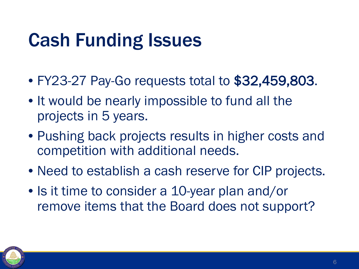#### Cash Funding Issues

- FY23-27 Pay-Go requests total to \$32,459,803.
- It would be nearly impossible to fund all the projects in 5 years.
- Pushing back projects results in higher costs and competition with additional needs.
- Need to establish a cash reserve for CIP projects.
- Is it time to consider a 10-year plan and/or remove items that the Board does not support?

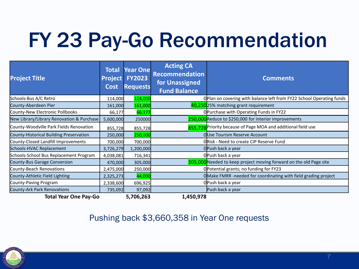## FY 23 Pay-Go Recommendation

| <b>Project Title</b>                      | Total<br><b>Project</b><br><b>Cost</b> | <b>Year One</b><br><b>FY2023</b><br><b>Requests</b> | <b>Acting CA</b><br><b>Recommendation</b><br>for Unassigned<br><b>Fund Balance</b> | <b>Comments</b>                                                      |
|-------------------------------------------|----------------------------------------|-----------------------------------------------------|------------------------------------------------------------------------------------|----------------------------------------------------------------------|
| Schools-Bus A/C Retro                     | 114,000                                | 114,000                                             |                                                                                    | OPlan on covering with balance left from FY22 School Operating funds |
| County-Aberdeen Pier                      | 161,000                                | 161,000                                             |                                                                                    | 40,25025% matching grant requirement                                 |
| County-New Electronic Pollbooks           | 66,177                                 | 66,177                                              |                                                                                    | OPurchase with Operating Funds in FY22                               |
| New Library/Library Renovation & Purchase | 5,600,000                              | 250000                                              |                                                                                    | 250,000 Reduce to \$250,000 for interior improvements                |
| County-Woodville Park Fields Renovation   | 855,728                                | 855,728                                             |                                                                                    | 855.728 Priority because of Page MOA and additional field use        |
| County-Historical Building Preservation   | 250,000                                | 250,000                                             |                                                                                    | OUse Tourism Reserve Account                                         |
| County-Closed Landfill Improvements       | 700,000                                | 700,000                                             |                                                                                    | ORisk - Need to create CIP Reserve Fund                              |
| Schools-HVAC Replacement                  | 3,726,279                              | 1,200,000                                           |                                                                                    | OPush back a year                                                    |
| Schools-School Bus Replacement Program    | 4,038,081                              | 716,341                                             |                                                                                    | OPush back a year                                                    |
| County-Bus Garage Conversion              | 470,000                                | 305,000                                             |                                                                                    | 305,000 Needed to keep project moving forward on the old Page site   |
| County-Beach Renovations                  | 2,475,000                              | 250,000                                             |                                                                                    | OPotential grants; no funding for FY23                               |
| County-Athletic Field Lighting            | 2,325,273                              | 44,000                                              |                                                                                    | OMake FMRR-needed for coordinating with field grading project        |
| County-Paving Program                     | 2,338,600                              | 696,925                                             |                                                                                    | OPush back a year                                                    |
| County-Ark Park Renovations               | 735,092                                | 97,092                                              |                                                                                    | Push back a year                                                     |
| <b>Total Year One Pay-Go</b>              |                                        | 5,706,263                                           | 1,450,978                                                                          |                                                                      |

#### Pushing back \$3,660,358 in Year One requests

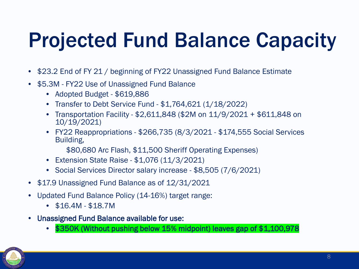## Projected Fund Balance Capacity

- \$23.2 End of FY 21 / beginning of FY22 Unassigned Fund Balance Estimate
- \$5.3M FY22 Use of Unassigned Fund Balance
	- Adopted Budget \$619,886
	- Transfer to Debt Service Fund \$1,764,621 (1/18/2022)
	- Transportation Facility \$2,611,848 (\$2M on 11/9/2021 + \$611,848 on 10/19/2021)
	- FY22 Reappropriations \$266,735 (8/3/2021 \$174,555 Social Services Building,

\$80,680 Arc Flash, \$11,500 Sheriff Operating Expenses)

- Extension State Raise \$1,076 (11/3/2021)
- Social Services Director salary increase \$8,505 (7/6/2021)
- \$17.9 Unassigned Fund Balance as of 12/31/2021
- Updated Fund Balance Policy (14-16%) target range:
	- \$16.4M \$18.7M
- Unassigned Fund Balance available for use:
	- \$350K (Without pushing below 15% midpoint) leaves gap of \$1,100,978

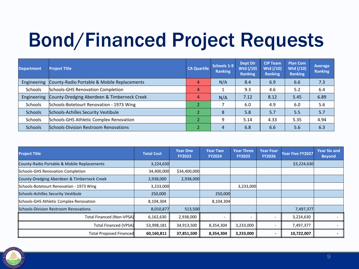### Bond/Financed Project Requests

| <b>Department</b> | <b>Project Title</b>                        | <b>CA Quartile</b> | Schools 1-9<br><b>Ranking</b> | <b>Dept Dir</b><br>Wtd (/10)<br><b>Ranking</b> | <b>CIP Team</b><br>Wtd (/10)<br><b>Ranking</b> | <b>Plan Com</b><br>Wtd (/10)<br><b>Ranking</b> | Average<br><b>Ranking</b> |
|-------------------|---------------------------------------------|--------------------|-------------------------------|------------------------------------------------|------------------------------------------------|------------------------------------------------|---------------------------|
| Engineering       | County-Radio Portable & Mobile Replacements | 4                  | N/A                           | 8.4                                            | 6.9                                            | 6.6                                            | 7.3                       |
| <b>Schools</b>    | Schools-GHS Renovation Completion           | 4                  |                               | 9.3                                            | 4.6                                            | 5.2                                            | 6.4                       |
| Engineering       | County-Dredging Aberdeen & Timberneck Creek | 4                  | N/A                           | 7.12                                           | 8.12                                           | 5.45                                           | 6.89                      |
| Schools           | Schools-Botetourt Renovation - 1973 Wing    | $\overline{2}$     |                               | 6.0                                            | 4.9                                            | 6.0                                            | 5.6                       |
| <b>Schools</b>    | Schools-Achilles Security Vestibule         | $\overline{2}$     | 8                             | 5.8                                            | 5.7                                            | 5.5                                            | 5.7                       |
| Schools           | Schools-GHS Athletic Complex Renovation     | $\overline{2}$     | 9                             | 5.14                                           | 4.33                                           | 5.35                                           | 4.94                      |
| <b>Schools</b>    | Schools-Division Restroom Renovations       | $\overline{2}$     | 4                             | 6.8                                            | 6.6                                            | 5.6                                            | 6.3                       |

| <b>Project Title</b>                         | <b>Total Cost</b> | <b>Year One</b><br><b>FY2023</b> | <b>Year Two</b><br><b>FY2024</b> | <b>Year Three</b><br><b>FY2025</b> | <b>Year Four</b><br><b>FY2026</b> | Year Five FY2027 | <b>Year Six and</b><br><b>Beyond</b> |
|----------------------------------------------|-------------------|----------------------------------|----------------------------------|------------------------------------|-----------------------------------|------------------|--------------------------------------|
| County-Radio Portable & Mobile Replacements  | 3,224,630         |                                  |                                  |                                    |                                   | \$3,224,630      |                                      |
| Schools-GHS Renovation Completion            | 34,400,000        | \$34,400,000                     |                                  |                                    |                                   |                  |                                      |
| County-Dredging Aberdeen & Timberneck Creek  | 2,938,000         | 2,938,000                        |                                  |                                    |                                   |                  |                                      |
| Schools-Botetourt Renovation - 1973 Wing     | 3,233,000         |                                  |                                  | 3,233,000                          |                                   |                  |                                      |
| Schools-Achilles Security Vestibule          | 250,000           |                                  | 250,000                          |                                    |                                   |                  |                                      |
| Schools-GHS Athletic Complex Renovation      | 8,104,304         |                                  | 8,104,304                        |                                    |                                   |                  |                                      |
| <b>Schools-Division Restroom Renovations</b> | 8,010,877         | 513,500                          |                                  |                                    |                                   | 7,497,377        |                                      |
| Total Financed (Non-VPSA)                    | 6,162,630         | 2,938,000                        | $\overline{\phantom{0}}$         |                                    |                                   | 3,224,630        |                                      |
| <b>Total Financed (VPSA)</b>                 | 53,998,181        | 34,913,500                       | 8,354,304                        | 3,233,000                          |                                   | 7,497,377        |                                      |
| Total Proposed Financed                      | 60,160,811        | 37,851,500                       | 8,354,304                        | 3,233,000                          |                                   | 10,722,007       |                                      |

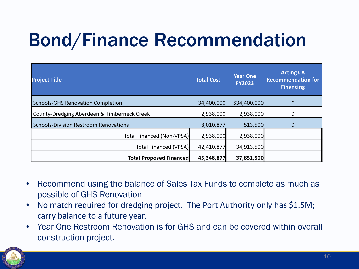#### Bond/Finance Recommendation

| <b>Project Title</b>                         | <b>Total Cost</b> | <b>Year One</b><br><b>FY2023</b> | <b>Acting CA</b><br><b>Recommendation for</b><br><b>Financing</b> |
|----------------------------------------------|-------------------|----------------------------------|-------------------------------------------------------------------|
| <b>Schools-GHS Renovation Completion</b>     | 34,400,000        | \$34,400,000                     | $\ast$                                                            |
| County-Dredging Aberdeen & Timberneck Creek  | 2,938,000         | 2,938,000                        | 0                                                                 |
| <b>Schools-Division Restroom Renovations</b> | 8,010,877         | 513,500                          |                                                                   |
| Total Financed (Non-VPSA)                    | 2,938,000         | 2,938,000                        |                                                                   |
| Total Financed (VPSA)                        | 42,410,877        | 34,913,500                       |                                                                   |
| <b>Total Proposed Financed</b>               | 45,348,877        | 37,851,500                       |                                                                   |

- Recommend using the balance of Sales Tax Funds to complete as much as possible of GHS Renovation
- No match required for dredging project. The Port Authority only has \$1.5M; carry balance to a future year.
- Year One Restroom Renovation is for GHS and can be covered within overall construction project.

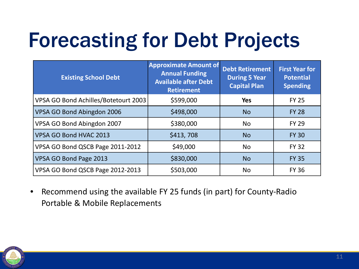## Forecasting for Debt Projects

| <b>Existing School Debt</b>          | <b>Approximate Amount of</b><br><b>Annual Funding</b><br><b>Available after Debt</b><br><b>Retirement</b> | <b>Debt Retirement</b><br><b>During 5 Year</b><br><b>Capital Plan</b> | <b>First Year for</b><br><b>Potential</b><br><b>Spending</b> |  |
|--------------------------------------|-----------------------------------------------------------------------------------------------------------|-----------------------------------------------------------------------|--------------------------------------------------------------|--|
| VPSA GO Bond Achilles/Botetourt 2003 | \$599,000                                                                                                 | <b>Yes</b>                                                            | <b>FY 25</b>                                                 |  |
| VPSA GO Bond Abingdon 2006           | \$498,000                                                                                                 | <b>No</b>                                                             | <b>FY 28</b>                                                 |  |
| VPSA GO Bond Abingdon 2007           | \$380,000                                                                                                 | <b>No</b>                                                             | <b>FY 29</b>                                                 |  |
| VPSA GO Bond HVAC 2013               | \$413,708                                                                                                 | <b>No</b>                                                             | <b>FY 30</b>                                                 |  |
| VPSA GO Bond QSCB Page 2011-2012     | \$49,000                                                                                                  | <b>No</b>                                                             | <b>FY 32</b>                                                 |  |
| VPSA GO Bond Page 2013               | \$830,000                                                                                                 | <b>No</b>                                                             | <b>FY 35</b>                                                 |  |
| VPSA GO Bond QSCB Page 2012-2013     | \$503,000                                                                                                 | <b>No</b>                                                             | <b>FY 36</b>                                                 |  |

• Recommend using the available FY 25 funds (in part) for County-Radio Portable & Mobile Replacements

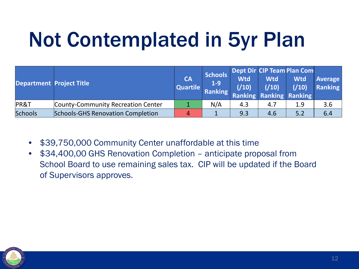## Not Contemplated in 5yr Plan

| <b>Department Project Title</b> |                                    | <b>CA</b><br>Quartile | <b>Schools</b><br>$1-9$ | <b>Wtd</b> | Wtd | Dept Dir CIP Team Plan Com<br><b>Wtd</b><br>Ranking (/10) (/10) (/10)<br>Ranking Ranking Ranking Ranking | <b>Average</b><br>Ranking |
|---------------------------------|------------------------------------|-----------------------|-------------------------|------------|-----|----------------------------------------------------------------------------------------------------------|---------------------------|
| PR&T                            | County-Community Recreation Center |                       | N/A                     | 4.3        | 4.7 | 1.9                                                                                                      | 3.6                       |
| <b>Schools</b>                  | Schools-GHS Renovation Completion  | $\overline{4}$        |                         | 9.3        | 4.6 | 5.2                                                                                                      | 6.4                       |

- \$39,750,000 Community Center unaffordable at this time
- \$34,400,00 GHS Renovation Completion anticipate proposal from School Board to use remaining sales tax. CIP will be updated if the Board of Supervisors approves.

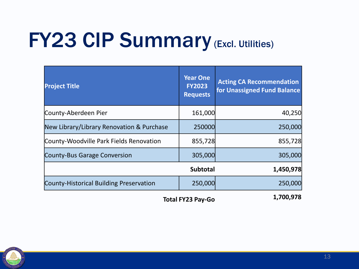## **FY23 CIP Summary (Excl. Utilities)**

| <b>Project Title</b>                      | <b>Year One</b><br><b>FY2023</b><br><b>Requests</b> | <b>Acting CA Recommendation</b><br>for Unassigned Fund Balance |
|-------------------------------------------|-----------------------------------------------------|----------------------------------------------------------------|
| County-Aberdeen Pier                      | 161,000                                             | 40,250                                                         |
| New Library/Library Renovation & Purchase | 250000                                              | 250,000                                                        |
| County-Woodville Park Fields Renovation   | 855,728                                             | 855,728                                                        |
| <b>County-Bus Garage Conversion</b>       | 305,000                                             | 305,000                                                        |
|                                           | <b>Subtotal</b>                                     | 1,450,978                                                      |
| County-Historical Building Preservation   | 250,000                                             | 250,000                                                        |
| <b>Total FY23 Pay-Go</b>                  | 1,700,978                                           |                                                                |

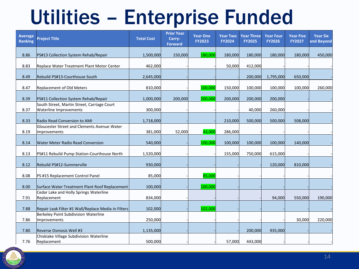### Utilities – Enterprise Funded

| <b>Average</b><br><b>Ranking</b> | <b>Project Title</b>                                                         | <b>Total Cost</b> | <b>Prior Year</b><br>Carry-<br><b>Forward</b> | <b>Year One</b><br><b>FY2023</b> | <b>Year Two</b><br><b>FY2024</b> | <b>Year Three</b><br><b>FY2025</b> | <b>Year Four</b><br><b>FY2026</b> | <b>Year Five</b><br><b>FY2027</b> | <b>Year Six</b><br>and Beyond |
|----------------------------------|------------------------------------------------------------------------------|-------------------|-----------------------------------------------|----------------------------------|----------------------------------|------------------------------------|-----------------------------------|-----------------------------------|-------------------------------|
| 8.86                             | PS#13 Collection System Rehab/Repair                                         | 1,500,000         | 150,000                                       | 180,000                          | 180,000                          | 180,000                            | 180,000                           | 180,000                           | 450,000                       |
| 8.83                             | Replace Water Treatment Plant Motor Center                                   | 462,000           |                                               |                                  | 50,000                           | 412,000                            |                                   |                                   |                               |
| 8.49                             | Rebuild PS#13-Courthouse South                                               | 2,645,000         |                                               |                                  |                                  | 200,000                            | 1,795,000                         | 650,000                           |                               |
| 8.47                             | Replacement of Old Meters                                                    | 810,000           |                                               | 100,000                          | 150,000                          | 100,000                            | 100,000                           | 100,000                           | 260,000                       |
| 8.39                             | PS#11 Collection System Rehab/Repair                                         | 1,000,000         | 200,000                                       | 200,000                          | 200,000                          | 200,000                            | 200,000                           |                                   |                               |
| 8.37                             | South Street, Martin Street, Carriage Court<br><b>Waterline Improvements</b> | 300,000           |                                               |                                  |                                  | 40,000                             | 260,000                           |                                   |                               |
| 8.33                             | Radio Read Conversion to AMI                                                 | 1,718,000         |                                               |                                  | 210,000                          | 500,000                            | 500,000                           | 508,000                           |                               |
| 8.19                             | Gloucester Street and Clements Avenue Water<br>Improvements                  | 381,000           | 52,000                                        | 43,000                           | 286,000                          |                                    |                                   |                                   |                               |
| 8.14                             | <b>Water Meter Radio Read Conversion</b>                                     | 540,000           |                                               | 100,000                          | 100,000                          | 100,000                            | 100,000                           | 140,000                           |                               |
| 8.13                             | PS#11 Rebuild Pump Station-Courthouse North                                  | 1,520,000         |                                               |                                  | 155,000                          | 750,000                            | 615,000                           |                                   |                               |
| 8.12                             | Rebuild PS#12-Summerville                                                    | 930,000           |                                               |                                  |                                  |                                    | 120,000                           | 810,000                           |                               |
| 8.08                             | PS #15 Replacement Control Panel                                             | 85,000            |                                               | 85,000                           |                                  |                                    |                                   |                                   |                               |
| 8.00                             | Surface Water Treatment Plant Roof Replacement                               | 100,000           |                                               | 100,000                          |                                  |                                    |                                   |                                   |                               |
| 7.91                             | Cedar Lake and Holly Springs Waterline<br>Replacement                        | 834,000           |                                               |                                  |                                  |                                    | 94,000                            | 550,000                           | 190,000                       |
| 7.88                             | Repair Leak Filter #1 Wall/Replace Media in Filters                          | 102,000           |                                               | 102,000                          |                                  |                                    |                                   |                                   |                               |
| 7.86                             | Berkeley Point Subdivision Waterline<br>Improvements                         | 250,000           |                                               |                                  |                                  |                                    |                                   | 30,000                            | 220,000                       |
| 7.80                             | Reverse Osmosis Well #3                                                      | 1,135,000         |                                               |                                  |                                  | 200,000                            | 935,000                           |                                   |                               |
| 7.76                             | Chiskiake Village Subdivision Waterline<br>Replacement                       | 500,000           |                                               |                                  | 57,000                           | 443,000                            |                                   |                                   |                               |

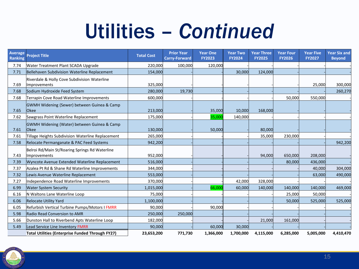#### Utilities – *Continued*

| <b>Average</b><br><b>Ranking</b> | <b>Project Title</b>                                           | <b>Total Cost</b> | <b>Prior Year</b><br><b>Carry-Forward</b> | <b>Year One</b><br><b>FY2023</b> | <b>Year Two</b><br><b>FY2024</b> | <b>Year Three</b><br><b>FY2025</b> | <b>Year Four</b><br><b>FY2026</b> | <b>Year Five</b><br><b>FY2027</b> | <b>Year Six and</b><br><b>Beyond</b> |
|----------------------------------|----------------------------------------------------------------|-------------------|-------------------------------------------|----------------------------------|----------------------------------|------------------------------------|-----------------------------------|-----------------------------------|--------------------------------------|
| 7.74                             | Water Treatment Plant SCADA Upgrade                            | 220,000           | 100,000                                   | 120,000                          |                                  |                                    |                                   |                                   |                                      |
| 7.71                             | Bellehaven Subdivision Waterline Replacement                   | 154,000           |                                           |                                  | 30,000                           | 124,000                            |                                   |                                   |                                      |
| 7.69                             | Riverdale & Holly Cove Subdivision Waterline<br>Improvements   | 325,000           |                                           |                                  |                                  |                                    |                                   | 25,000                            | 300,000                              |
| 7.68                             | Sodium Hydroxide Feed System                                   | 280,000           | 19,730                                    |                                  |                                  |                                    |                                   |                                   | 260,270                              |
| 7.68                             | Terrapin Cove Road Waterline Improvements                      | 600,000           |                                           |                                  |                                  |                                    | 50,000                            | 550,000                           |                                      |
| 7.65                             | GWMH Widening (Sewer) between Guinea & Camp<br><b>Okee</b>     | 213,000           |                                           | 35,000                           | 10,000                           | 168,000                            |                                   |                                   |                                      |
| 7.62                             | Sawgrass Point Waterline Replacement                           | 175,000           |                                           | 35,000                           | 140,000                          |                                    |                                   |                                   |                                      |
| 7.61                             | GWMH Widening (Water) between Guinea & Camp<br><b>Okee</b>     | 130,000           |                                           | 50,000                           |                                  | 80,000                             |                                   |                                   |                                      |
| 7.61                             | Tillage Heights Subdivision Waterline Replacement              | 265,000           |                                           |                                  |                                  | 35,000                             | 230,000                           |                                   |                                      |
| 7.58                             | Relocate Permanganate & PAC Feed Systems                       | 942,200           |                                           |                                  |                                  |                                    |                                   |                                   | 942,200                              |
| 7.43                             | Belroi Rd/Main St/Roaring Springs Rd Waterline<br>Improvements | 952,000           |                                           |                                  |                                  | 94,000                             | 650,000                           | 208,000                           |                                      |
| 7.39                             | Wyncote Avenue Extended Waterline Replacement                  | 516,000           |                                           |                                  |                                  |                                    | 80,000                            | 436,000                           |                                      |
| 7.37                             | Azalea Pt Rd & Shane Rd Waterline Improvements                 | 344,000           |                                           |                                  |                                  |                                    |                                   | 40,000                            | 304,000                              |
| 7.32                             | Lewis Avenue Waterline Replacement                             | 553,000           |                                           |                                  |                                  |                                    |                                   | 63,000                            | 490,000                              |
| 7.27                             | Independence Road Waterline Improvements                       | 370,000           |                                           |                                  | 42,000                           | 328,000                            |                                   |                                   |                                      |
| 6.99                             | <b>Water System Security</b>                                   | 1,015,000         |                                           | 66,000                           | 60,000                           | 140,000                            | 140,000                           | 140,000                           | 469,000                              |
| 6.16                             | N Waltons Lane Waterline Loop                                  | 75,000            |                                           |                                  |                                  |                                    | 25,000                            | 50,000                            |                                      |
| 6.06                             | <b>Relocate Utility Yard</b>                                   | 1,100,000         |                                           |                                  |                                  |                                    | 50,000                            | 525,000                           | 525,000                              |
| 6.05                             | Refurbish Vertical Turbine Pumps/Motors I FMRR                 | 90,000            |                                           | 90,000                           |                                  |                                    |                                   |                                   |                                      |
| 5.98                             | Radio Read Conversion to AMR                                   | 250,000           | 250,000                                   |                                  |                                  |                                    |                                   |                                   |                                      |
| 5.66                             | Dunston Hall to Riverbend Apts Waterline Loop                  | 182,000           |                                           |                                  |                                  | 21,000                             | 161,000                           |                                   |                                      |
| 5.49                             | <b>Lead Service Line Inventory FMRR</b>                        | 90,000            |                                           | 60,000                           | 30,000                           |                                    |                                   |                                   |                                      |
|                                  | <b>Total Utilities (Enterprise Funded Through FY27)</b>        | 23,653,200        | 771,730                                   | 1,366,000                        | 1,700,000                        | 4,115,000                          | 6,285,000                         | 5,005,000                         | 4,410,470                            |